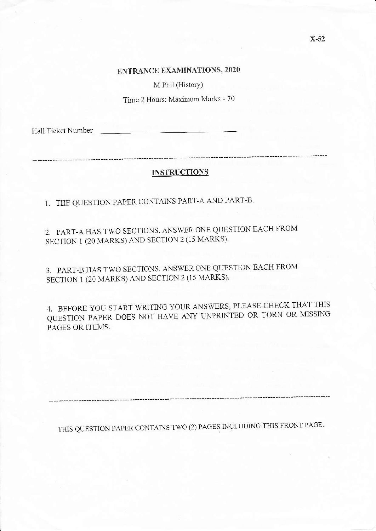M Phil (History)

Time 2 Hours: Maximum Marks - 70

Hall Ticket Number

#### INSTRUCTIONS

1. THE QUESTION PAPER CONTAINS PART-A AND PART-B.

2. PART-A HAS TWO SECTIONS. ANSWER ONE QUESTION EACH FROM SECTION 1 (20 MARKS) AND SECTION 2 (15 MARKS).

3. PART-B HAS TWO SECTIONS, ANSWER ONE QUESTION EACH FROM SECTION 1 (20 MARKS) AND SECTION 2 (15 MARKS).

4. BEFORE YOU START WRITING YOUR ANSWERS, PLEASE CHECK THAT THIS QUESTION PAPER DOES NOT HAVE ANY UNPRINTED OR TORN OR MISSING PAGES OR ITEMS.

THIS QUESTION PAPER CONTAINS TWO (2) PAGES INCLUDING THIS FRONT PAGE-